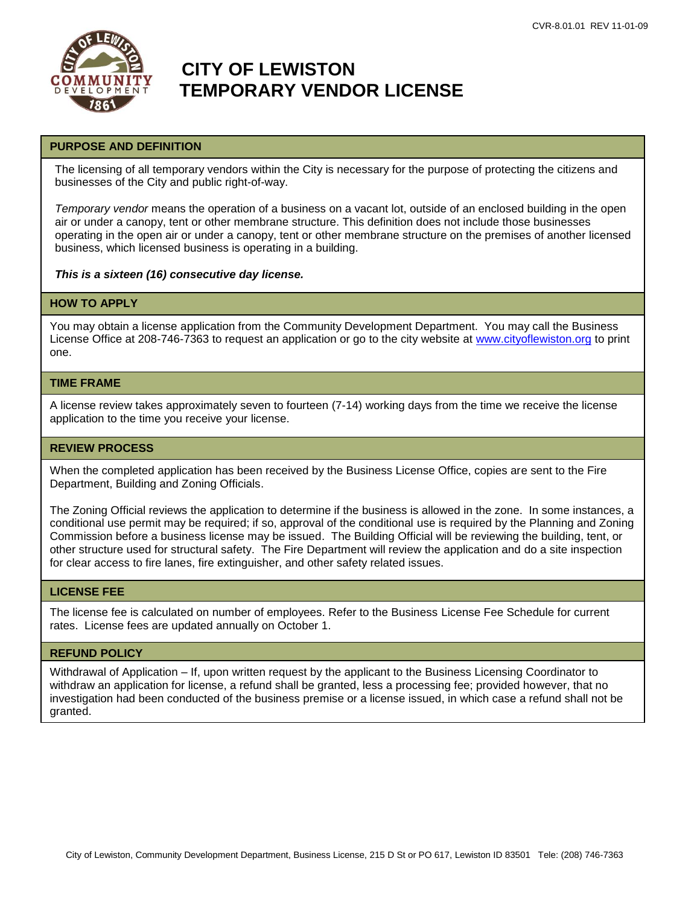

# **CITY OF LEWISTON TEMPORARY VENDOR LICENSE**

## **PURPOSE AND DEFINITION**

The licensing of all temporary vendors within the City is necessary for the purpose of protecting the citizens and businesses of the City and public right-of-way.

*Temporary vendor* means the operation of a business on a vacant lot, outside of an enclosed building in the open air or under a canopy, tent or other membrane structure. This definition does not include those businesses operating in the open air or under a canopy, tent or other membrane structure on the premises of another licensed business, which licensed business is operating in a building.

*This is a sixteen (16) consecutive day license.*

#### **HOW TO APPLY**

You may obtain a license application from the Community Development Department. You may call the Business License Office at 208-746-7363 to request an application or go to the city website at [www.cityoflewiston.org](http://www.cityoflewiston.org/) to print one.

## **TIME FRAME**

A license review takes approximately seven to fourteen (7-14) working days from the time we receive the license application to the time you receive your license.

### **REVIEW PROCESS**

When the completed application has been received by the Business License Office, copies are sent to the Fire Department, Building and Zoning Officials.

The Zoning Official reviews the application to determine if the business is allowed in the zone. In some instances, a conditional use permit may be required; if so, approval of the conditional use is required by the Planning and Zoning Commission before a business license may be issued. The Building Official will be reviewing the building, tent, or other structure used for structural safety. The Fire Department will review the application and do a site inspection for clear access to fire lanes, fire extinguisher, and other safety related issues.

## **LICENSE FEE**

The license fee is calculated on number of employees. Refer to the Business License Fee Schedule for current rates. License fees are updated annually on October 1.

#### **REFUND POLICY**

Withdrawal of Application – If, upon written request by the applicant to the Business Licensing Coordinator to withdraw an application for license, a refund shall be granted, less a processing fee; provided however, that no investigation had been conducted of the business premise or a license issued, in which case a refund shall not be granted.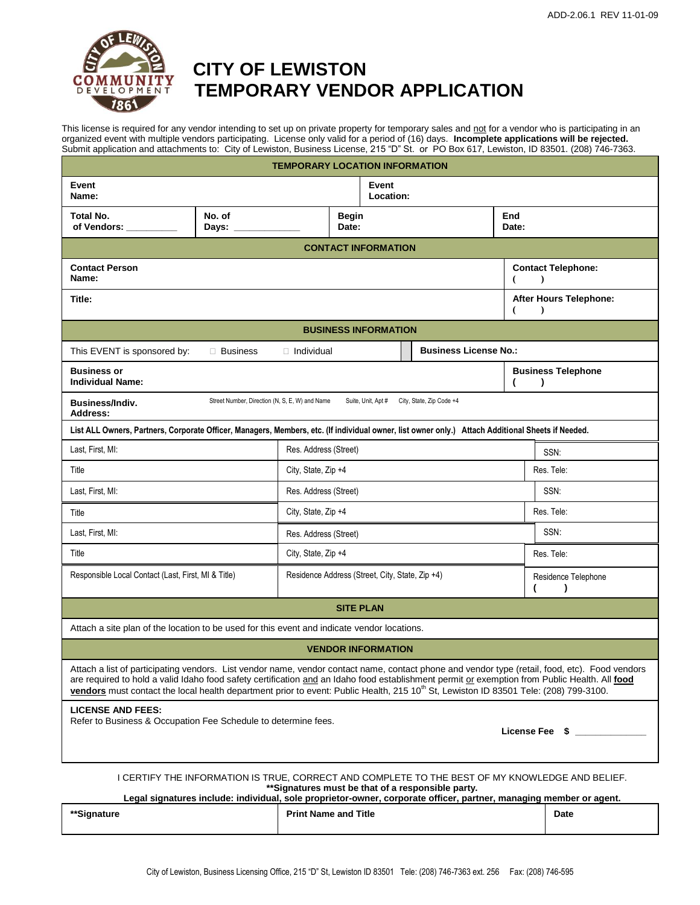

# **CITY OF LEWISTON TRINGPMENT TEMPORARY VENDOR APPLICATION**

This license is required for any vendor intending to set up on private property for temporary sales and not for a vendor who is participating in an organized event with multiple vendors participating. License only valid for a period of (16) days. **Incomplete applications will be rejected.** Submit application and attachments to: City of Lewiston, Business License, 215 "D" St. or PO Box 617, Lewiston, ID 83501. (208) 746-7363.

| <b>TEMPORARY LOCATION INFORMATION</b>                                                                                                                                                                                                                                                                                                                                                                                                               |                       |                                                 |                       |                             |              |                                  |                                        |  |
|-----------------------------------------------------------------------------------------------------------------------------------------------------------------------------------------------------------------------------------------------------------------------------------------------------------------------------------------------------------------------------------------------------------------------------------------------------|-----------------------|-------------------------------------------------|-----------------------|-----------------------------|--------------|----------------------------------|----------------------------------------|--|
| Event<br>Name:                                                                                                                                                                                                                                                                                                                                                                                                                                      |                       |                                                 |                       | Event<br>Location:          |              |                                  |                                        |  |
| No. of<br>Total No.<br>Days:<br>of Vendors:                                                                                                                                                                                                                                                                                                                                                                                                         |                       | <b>Begin</b><br>Date:                           |                       |                             | End<br>Date: |                                  |                                        |  |
| <b>CONTACT INFORMATION</b>                                                                                                                                                                                                                                                                                                                                                                                                                          |                       |                                                 |                       |                             |              |                                  |                                        |  |
| <b>Contact Person</b><br>Name:                                                                                                                                                                                                                                                                                                                                                                                                                      |                       |                                                 |                       |                             |              |                                  | <b>Contact Telephone:</b><br>$\lambda$ |  |
| Title:                                                                                                                                                                                                                                                                                                                                                                                                                                              |                       |                                                 |                       |                             |              | €                                | After Hours Telephone:<br>$\lambda$    |  |
|                                                                                                                                                                                                                                                                                                                                                                                                                                                     |                       |                                                 |                       | <b>BUSINESS INFORMATION</b> |              |                                  |                                        |  |
| <b>Business License No.:</b><br>This EVENT is sponsored by:<br>$\Box$ Business<br>□ Individual                                                                                                                                                                                                                                                                                                                                                      |                       |                                                 |                       |                             |              |                                  |                                        |  |
| <b>Business or</b><br><b>Individual Name:</b>                                                                                                                                                                                                                                                                                                                                                                                                       |                       |                                                 |                       |                             |              | 1                                | <b>Business Telephone</b><br>$\lambda$ |  |
| Street Number, Direction (N, S, E, W) and Name<br>Suite, Unit, Apt # City, State, Zip Code +4<br>Business/Indiv.<br>Address:                                                                                                                                                                                                                                                                                                                        |                       |                                                 |                       |                             |              |                                  |                                        |  |
| List ALL Owners, Partners, Corporate Officer, Managers, Members, etc. (If individual owner, list owner only.) Attach Additional Sheets if Needed.                                                                                                                                                                                                                                                                                                   |                       |                                                 |                       |                             |              |                                  |                                        |  |
| Last, First, MI:<br>Res. Address (Street)                                                                                                                                                                                                                                                                                                                                                                                                           |                       |                                                 |                       |                             |              | SSN:                             |                                        |  |
| City, State, Zip +4<br>Title                                                                                                                                                                                                                                                                                                                                                                                                                        |                       |                                                 |                       |                             |              |                                  | Res. Tele:                             |  |
| Last, First, MI:                                                                                                                                                                                                                                                                                                                                                                                                                                    | Res. Address (Street) |                                                 |                       |                             | SSN:         |                                  |                                        |  |
| Title                                                                                                                                                                                                                                                                                                                                                                                                                                               |                       |                                                 | City, State, Zip +4   |                             |              |                                  | Res. Tele:                             |  |
| Last, First, MI:                                                                                                                                                                                                                                                                                                                                                                                                                                    |                       |                                                 | Res. Address (Street) |                             |              |                                  | SSN.                                   |  |
| Title                                                                                                                                                                                                                                                                                                                                                                                                                                               |                       |                                                 | City, State, Zip +4   |                             |              |                                  | Res. Tele:                             |  |
| Responsible Local Contact (Last, First, MI & Title)                                                                                                                                                                                                                                                                                                                                                                                                 |                       | Residence Address (Street, City, State, Zip +4) |                       |                             |              | Residence Telephone<br>$\lambda$ |                                        |  |
| <b>SITE PLAN</b>                                                                                                                                                                                                                                                                                                                                                                                                                                    |                       |                                                 |                       |                             |              |                                  |                                        |  |
| Attach a site plan of the location to be used for this event and indicate vendor locations.                                                                                                                                                                                                                                                                                                                                                         |                       |                                                 |                       |                             |              |                                  |                                        |  |
| <b>VENDOR INFORMATION</b>                                                                                                                                                                                                                                                                                                                                                                                                                           |                       |                                                 |                       |                             |              |                                  |                                        |  |
| Attach a list of participating vendors. List vendor name, vendor contact name, contact phone and vendor type (retail, food, etc). Food vendors<br>are required to hold a valid Idaho food safety certification and an Idaho food establishment permit or exemption from Public Health. All food<br>vendors must contact the local health department prior to event: Public Health, 215 10 <sup>th</sup> St, Lewiston ID 83501 Tele: (208) 799-3100. |                       |                                                 |                       |                             |              |                                  |                                        |  |
| <b>LICENSE AND FEES:</b><br>Refer to Business & Occupation Fee Schedule to determine fees.<br>License Fee \$                                                                                                                                                                                                                                                                                                                                        |                       |                                                 |                       |                             |              |                                  |                                        |  |
| I CERTIFY THE INFORMATION IS TRUE, CORRECT AND COMPLETE TO THE BEST OF MY KNOWLEDGE AND BELIEF.<br>**Signatures must be that of a responsible party.                                                                                                                                                                                                                                                                                                |                       |                                                 |                       |                             |              |                                  |                                        |  |

**Legal signatures include: individual, sole proprietor-owner, corporate officer, partner, managing member or agent.**

| **Signature | <b>Print Name and Title</b> | Date<br>. |
|-------------|-----------------------------|-----------|
|             |                             |           |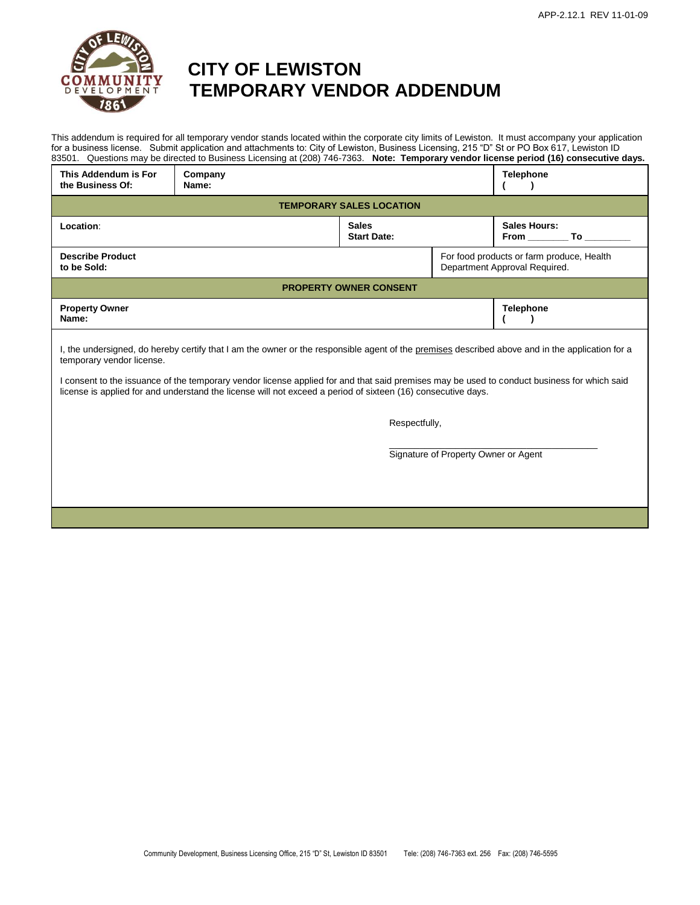

# **CITY OF LEWISTON MENT TEMPORARY VENDOR ADDENDUM**

This addendum is required for all temporary vendor stands located within the corporate city limits of Lewiston. It must accompany your application for a business license. Submit application and attachments to: City of Lewiston, Business Licensing, 215 "D" St or PO Box 617, Lewiston ID 83501. Questions may be directed to Business Licensing at (208) 746-7363. **Note: Temporary vendor license period (16) consecutive days.**

| This Addendum is For<br>the Business Of:                                                                                                                                                                                                                    | Company<br>Name: |                                    |  | Telephone                                                                  |  |  |  |  |
|-------------------------------------------------------------------------------------------------------------------------------------------------------------------------------------------------------------------------------------------------------------|------------------|------------------------------------|--|----------------------------------------------------------------------------|--|--|--|--|
| <b>TEMPORARY SALES LOCATION</b>                                                                                                                                                                                                                             |                  |                                    |  |                                                                            |  |  |  |  |
| Location:                                                                                                                                                                                                                                                   |                  | <b>Sales</b><br><b>Start Date:</b> |  | Sales Hours:<br>From To                                                    |  |  |  |  |
| <b>Describe Product</b><br>to be Sold:                                                                                                                                                                                                                      |                  |                                    |  | For food products or farm produce, Health<br>Department Approval Required. |  |  |  |  |
| <b>PROPERTY OWNER CONSENT</b>                                                                                                                                                                                                                               |                  |                                    |  |                                                                            |  |  |  |  |
| <b>Property Owner</b><br>Name:                                                                                                                                                                                                                              |                  |                                    |  | <b>Telephone</b>                                                           |  |  |  |  |
| I, the undersigned, do hereby certify that I am the owner or the responsible agent of the premises described above and in the application for a<br>temporary vendor license.                                                                                |                  |                                    |  |                                                                            |  |  |  |  |
| I consent to the issuance of the temporary vendor license applied for and that said premises may be used to conduct business for which said<br>license is applied for and understand the license will not exceed a period of sixteen (16) consecutive days. |                  |                                    |  |                                                                            |  |  |  |  |

Respectfully,

\_\_\_\_\_\_\_\_\_\_\_\_\_\_\_\_\_\_\_\_\_\_\_\_\_\_\_\_\_\_\_\_\_\_\_\_\_\_\_\_\_ Signature of Property Owner or Agent